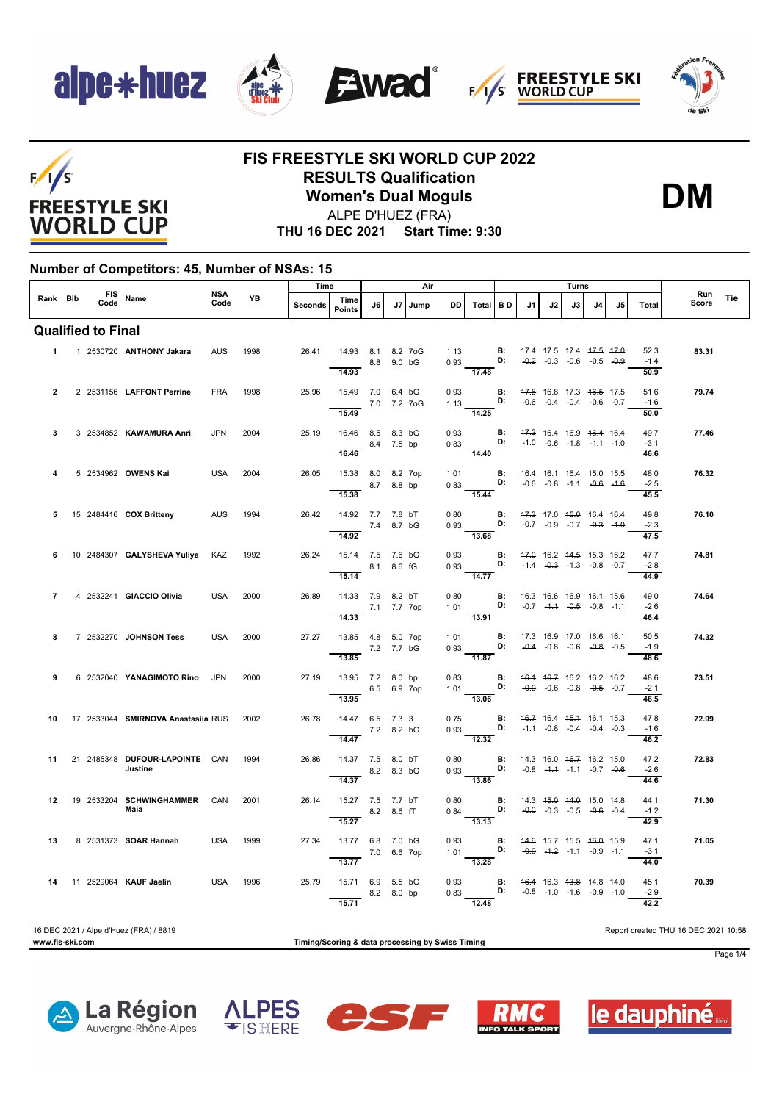









#### **FIS FREESTYLE SKI WORLD CUP 2022 RESULTS Qualification Women's Dual Moguls**



ALPE D'HUEZ (FRA)

**THU 16 DEC 2021 Start Time: 9:30**

#### **Number of Competitors: 45, Number of NSAs: 15**

|                |                           |                                           | <b>NSA</b> |      | Time           |                                                           |             |    | Air  |              |                                                                                                                                           |           |                                    |    | Turns                              |                |     |                        | Run                                  |     |
|----------------|---------------------------|-------------------------------------------|------------|------|----------------|-----------------------------------------------------------|-------------|----|------|--------------|-------------------------------------------------------------------------------------------------------------------------------------------|-----------|------------------------------------|----|------------------------------------|----------------|-----|------------------------|--------------------------------------|-----|
| Rank Bib       |                           | FIS Name                                  | Code       | YB   | <b>Seconds</b> | Time<br><b>Points</b>                                     | J6          | J7 | Jump | <b>DD</b>    | Total                                                                                                                                     | <b>BD</b> | J1                                 | J2 | J3                                 | J <sub>4</sub> | .15 | <b>Total</b>           | Score                                | Tie |
|                | <b>Qualified to Final</b> |                                           |            |      |                |                                                           |             |    |      |              |                                                                                                                                           |           |                                    |    |                                    |                |     |                        |                                      |     |
|                |                           | 1 1 2530720 ANTHONY Jakara                | AUS        | 1998 | 26.41          | 14.93 8.1 8.2 7oG<br>8.8 9.0 bG<br>14.93                  |             |    |      |              | 1.13 <b>B</b> : 17.4 17.5 17.4 <del>17.5 17.0</del><br>0.93 <b>D:</b> -0.2 -0.3 -0.6 -0.5 -0.9<br>$\frac{1}{17.48}$                       |           |                                    |    |                                    |                |     | 52.3<br>$-1.4$<br>50.9 | 83.31                                |     |
| $\overline{2}$ |                           | 2 2531156 LAFFONT Perrine                 | <b>FRA</b> | 1998 | 25.96          | 15.49 7.0 6.4 bG<br>15.49                                 | 7.0 7.2 7oG |    |      | 0.93         | 1.13 <b>D</b> :<br>$\overline{14.25}$                                                                                                     |           | <b>B:</b> 47.8 16.8 17.3 46.5 17.5 |    | $-0.6$ $-0.4$ $-0.4$ $-0.6$ $-0.7$ |                |     | 51.6<br>$-1.6$<br>50.0 | 79.74                                |     |
| 3              |                           | 3 2534852 KAWAMURA Anri                   | <b>JPN</b> | 2004 | 25.19          | 16.46 8.5 8.3 bG<br>8.4 7.5 bp<br>16.46                   |             |    |      | 0.93         | $0.83$ D: $-1.0$ $-0.6$ $-1.8$ $-1.1$ $-1.0$<br>$\overline{14.40}$                                                                        | B:        |                                    |    | 47.2 16.4 16.9 46.4 16.4           |                |     | 49.7<br>$-3.1$<br>46.6 | 77.46                                |     |
|                |                           | 5 2534962 OWENS Kai                       | <b>USA</b> | 2004 | 26.05          | 15.38 8.0 8.2 7op<br>15.38                                | 8.7 8.8 bp  |    |      |              | 1.01 <b>B</b> : 16.4 16.1 <del>16.4 15.0</del> 15.5<br>0.83 <b>D:</b> -0.6 -0.8 -1.1 -0.6 -1.6<br>$\overline{15.44}$                      |           |                                    |    |                                    |                |     | 48.0<br>$-2.5$<br>45.5 | 76.32                                |     |
| 5              |                           | 15 2484416 COX Britteny                   | <b>AUS</b> | 1994 | 26.42          | 14.92 7.7 7.8 bT<br>7.4 8.7 bG<br>14.92                   |             |    |      | 0.80         | 0.93 <b>D:</b> $-0.7$ $-0.9$ $-0.7$ $-0.3$ $-1.0$<br>13.68                                                                                |           | <b>B:</b> 47.3 17.0 45.0 16.4 16.4 |    |                                    |                |     | 49.8<br>$-2.3$<br>47.5 | 76.10                                |     |
| 6              |                           | 10 2484307 GALYSHEVA Yuliya KAZ           |            | 1992 | 26.24          | 15.14 7.5 7.6 bG<br>8.1 8.6 fG<br>15.14                   |             |    |      | 0.93         | $0.93$ D: $-4.4$ $-0.3$ $-1.3$ $-0.8$ $-0.7$<br>$\frac{1}{14.77}$                                                                         |           | <b>B:</b> 47.0 16.2 44.5 15.3 16.2 |    |                                    |                |     | 47.7<br>$-2.8$<br>44.9 | 74.81                                |     |
| $\overline{7}$ |                           | 4 2532241 GIACCIO Olivia                  | <b>USA</b> | 2000 | 26.89          | 14.33 7.9 8.2 bT<br>7.1 7.7 7op<br>$\overline{14.33}$     |             |    |      |              | 0.80 <b>B:</b> 16.3 16.6 <del>16.9</del> 16.1 <del>15.6</del><br>1.01 <b>D:</b> -0.7 - <del>1.1</del> -0.5 -0.8 -1.1<br>$\frac{1}{13.91}$ |           |                                    |    |                                    |                |     | 49.0<br>$-2.6$<br>46.4 | 74.64                                |     |
| 8              |                           | 7 2532270 JOHNSON Tess                    | <b>USA</b> | 2000 | 27.27          | 13.85  4.8  5.0  7op<br>13.85                             | 7.2 7.7 bG  |    |      |              | 1.01 <b>B</b> : $47.3$ 16.9 17.0 16.6 $46.4$<br>0.93 <b>D:</b> $-0.4$ $-0.8$ $-0.6$ $-0.8$ $-0.5$<br>$-11.87$                             |           |                                    |    |                                    |                |     | 50.5<br>$-1.9$<br>48.6 | 74.32                                |     |
| 9              |                           | 6 2532040 YANAGIMOTO Rino JPN             |            | 2000 | 27.19          | 13.95 7.2 8.0 bp<br>6.5 6.9 7op<br>13.95                  |             |    |      | 0.83         | 1.01 <b>D:</b> $-0.9 - 0.6 - 0.8 - 0.5 - 0.7$<br>$-13.06$                                                                                 |           | <b>B:</b> 46.4 46.7 16.2 16.2 16.2 |    |                                    |                |     | 48.6<br>$-2.1$<br>46.5 | 73.51                                |     |
| 10             |                           | 17 2533044 SMIRNOVA Anastasiia RUS 2002   |            |      | 26.78          | 14.47 6.5 7.3 3<br>14.47                                  | 7.2 8.2 bG  |    |      | 0.75         | $0.93$ D: $-4.4$ $-0.8$ $-0.4$ $-0.4$ $-0.3$<br>12.32                                                                                     |           | <b>B:</b> 46.7 16.4 45.4 16.1 15.3 |    |                                    |                |     | 47.8<br>$-1.6$<br>46.2 | 72.99                                |     |
| 11             |                           | 21 2485348 DUFOUR LAPOINTE CAN<br>Justine |            | 1994 | 26.86          | 14.37 7.5 8.0 bT<br>$\overline{14.37}$                    | 8.2 8.3 bG  |    |      | 0.80<br>0.93 | <b>B:</b> 44.3 16.0 <del>16.7</del> 16.2 15.0<br><b>D:</b> -0.8 - <del>1.1</del> -1.1 -0.7 - <del>0.6</del><br>$\overline{13.86}$         |           |                                    |    |                                    |                |     | 47.2<br>$-2.6$<br>44.6 | 72.83                                |     |
| 12             |                           | 19 2533204 SCHWINGHAMMER CAN<br>Maia      |            | 2001 | 26.14          | 15.27 7.5 7.7 bT<br>$8.2\quad 8.6\quad \text{T}$<br>15.27 |             |    |      |              | 0.80 <b>B</b> : 14.3 45.0 44.0 15.0 14.8<br>0.84 <b>D:</b> -0.0 -0.3 -0.5 -0.6 -0.4<br>$-13.13$                                           |           |                                    |    |                                    |                |     | 44.1<br>$-1.2$<br>42.9 | 71.30                                |     |
| 13             |                           | 8 2531373 <b>SOAR Hannah</b>              | <b>USA</b> | 1999 | 27.34          | 13.77 6.8 7.0 bG<br>$\overline{13.77}$                    | 7.0 6.6 7op |    |      | 0.93         | 1.01 <b>D:</b> $-0.9$ $-1.2$ $-1.1$ $-0.9$ $-1.1$<br>$\frac{1}{13.28}$                                                                    |           | <b>B:</b> 44.6 15.7 15.5 46.0 15.9 |    |                                    |                |     | 47.1<br>$-3.1$<br>44.0 | 71.05                                |     |
| 14             |                           | 11 2529064 KAUF Jaelin                    | <b>USA</b> | 1996 | 25.79          | 15.71 6.9 5.5 bG<br>15.71                                 | 8.2 8.0 bp  |    |      |              | 0.93 <b>B:</b> 46.4 16.3 43.8 14.8 14.0<br>0.83 <b>D:</b> -0.8 -1.0 -1.6 -0.9 -1.0<br>$-12.48$                                            |           |                                    |    |                                    |                |     | 45.1<br>$-2.9$<br>42.2 | 70.39                                |     |
|                |                           | 16 DEC 2021 / Alpe d'Huez (FRA) / 8819    |            |      |                |                                                           |             |    |      |              |                                                                                                                                           |           |                                    |    |                                    |                |     |                        | Report created THU 16 DEC 2021 10:58 |     |



Page 1/4









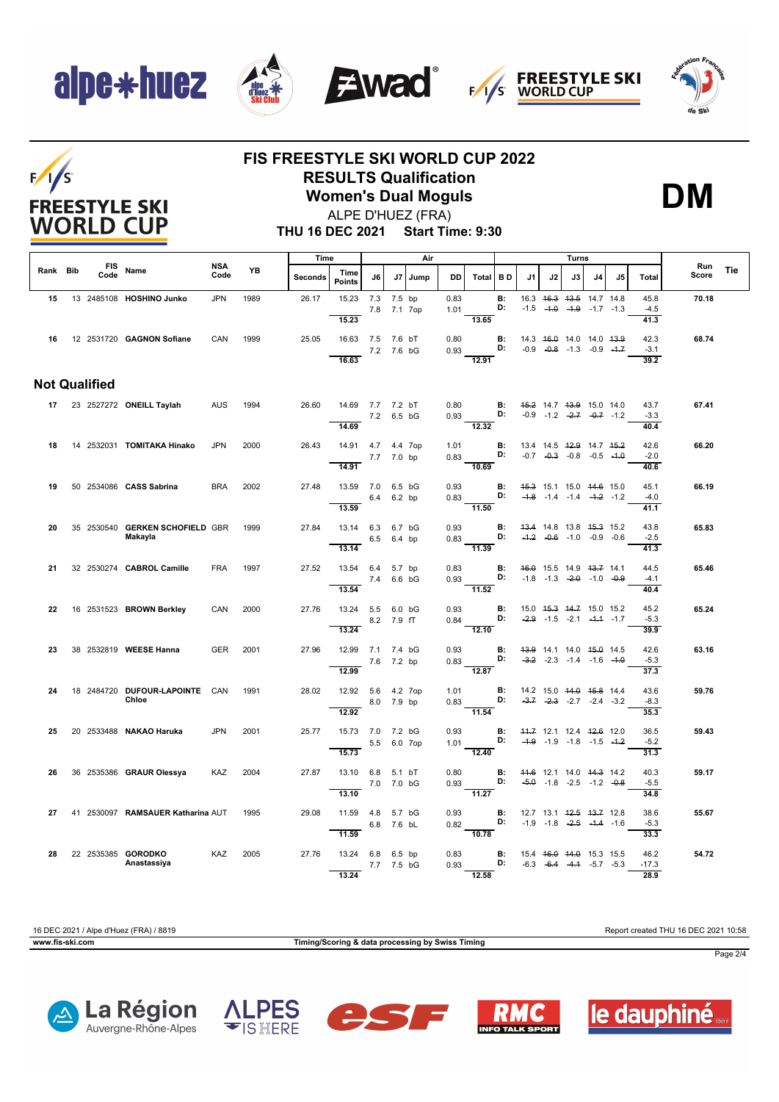









## $F/1/S$ **FREESTYLE SKI WORLD CUP**

### **FIS FREESTYLE SKI WORLD CUP 2022 RESULTS Qualification**

**Women's Dual Moguls**



ALPE D'HUEZ (FRA)

**THU 16 DEC 2021 Start Time: 9:30**

|          |  |                      |                                            |                    | Time |                |                                         |            | Air         |      |              |                                                                                              |                                    |                                                |    | Turns |                                                                |    | <b>Run</b>                     |       |     |
|----------|--|----------------------|--------------------------------------------|--------------------|------|----------------|-----------------------------------------|------------|-------------|------|--------------|----------------------------------------------------------------------------------------------|------------------------------------|------------------------------------------------|----|-------|----------------------------------------------------------------|----|--------------------------------|-------|-----|
| Rank Bib |  | <b>FIS</b><br>Code   | Name                                       | <b>NSA</b><br>Code | YB   | <b>Seconds</b> | Time<br><b>Points</b>                   | J6         | J7          | Jump | <b>DD</b>    | Total BD                                                                                     |                                    | J1                                             | J2 | J3    | J4                                                             | J5 | <b>Total</b>                   | Score | Tie |
| 15       |  |                      | 13 2485108 HOSHINO Junko                   | <b>JPN</b>         | 1989 | 26.17          | 15.23<br>15.23                          | 7.3 7.5 bp | 7.8 7.1 7op |      | 0.83<br>1.01 | 13.65                                                                                        | <b>B:</b><br>D:                    |                                                |    |       | 16.3 46.3 43.5 14.7 14.8<br>$-1.5$ $-4.0$ $-4.9$ $-1.7$ $-1.3$ |    | 45.8<br>$-4.5$<br>41.3         | 70.18 |     |
| 16       |  |                      | 12 2531720 <b>GAGNON Sofiane</b>           | CAN                | 1999 | 25.05          | 16.63 7.5 7.6 bT<br>16.63               |            | 7.2 7.6 bG  |      | 0.80         | $0.93$ D:<br>12.91                                                                           | <b>B:</b>                          | 14.3 46.0 14.0 14.0 43.9                       |    |       | $-0.9$ $-0.8$ $-1.3$ $-0.9$ $-4.7$                             |    | 42.3<br>$-3.1$<br>39.2         | 68.74 |     |
|          |  | <b>Not Qualified</b> |                                            |                    |      |                |                                         |            |             |      |              |                                                                                              |                                    |                                                |    |       |                                                                |    |                                |       |     |
|          |  |                      | 17 23 2527272 ONEILL Taylah                | AUS                | 1994 | 26.60          | 14.69 7.7 7.2 bT<br>14.69               |            | 7.2 6.5 bG  |      |              | 0.80 <b>B</b> : 45-2 14.7 43-9 15.0 14.0<br>0.93 <b>D:</b> -0.9 -1.2 -2.7 -0.7 -1.2<br>12.32 |                                    |                                                |    |       | $-0.9$ $-1.2$ $-2.7$ $-0.7$ $-1.2$                             |    | 43.7<br>$-3.3$<br>40.4         | 67.41 |     |
| 18       |  |                      | 14 2532031 TOMITAKA Hinako                 | <b>JPN</b>         | 2000 | 26.43          | 14.91  4.7  4.4  7op                    |            | 7.7 7.0 bp  |      | 1.01         | $0.83$ D:                                                                                    | В:                                 | 13.4 14.5 <del>12.9</del> 14.7 <del>15.2</del> |    |       | $-0.7$ $-0.3$ $-0.8$ $-0.5$ $-4.0$                             |    | 42.6<br>$-2.0$                 | 66.20 |     |
| 19       |  |                      | 50 2534086 CASS Sabrina                    | <b>BRA</b>         | 2002 | 27.48          | 14.91<br>13.59 7.0 6.5 bG               |            | 6.4 6.2 bp  |      | 0.93         | 10.69<br>0.83 D: $-4.8$ $-1.4$ $-1.4$ $-4.2$ $-1.2$                                          | <b>B:</b> 45.3 15.1 15.0 44.6 15.0 |                                                |    |       |                                                                |    | 40.6<br>45.1<br>$-4.0$         | 66.19 |     |
| 20       |  |                      | 35 2530540 GERKEN SCHOFIELD GBR<br>Makayla |                    | 1999 | 27.84          | 13.59<br>13.14 6.3 6.7 bG               |            | 6.5 6.4 bp  |      | 0.93         | $-11.50$<br>$0.83\frac{D!}{11.39}$                                                           | <b>B:</b>                          | 43.4 14.8 13.8 45.3 15.2                       |    |       | $-4.2$ $-0.6$ $-1.0$ $-0.9$ $-0.6$                             |    | 41.1<br>43.8<br>$-2.5$         | 65.83 |     |
| 21       |  |                      | 32 2530274 CABROL Camille                  | <b>FRA</b>         | 1997 | 27.52          | 13.14<br>13.54 6.4 5.7 bp               |            | 7.4 6.6 bG  |      | 0.83         | $0.93$ <b>D:</b>                                                                             | B:                                 | 46.0 15.5 14.9 43.7 14.1                       |    |       | $-1.8$ $-1.3$ $-2.0$ $-1.0$ $-0.9$                             |    | 41.3<br>44.5<br>$-4.1$         | 65.46 |     |
| 22       |  |                      | 16 2531523 BROWN Berkley                   | CAN                | 2000 | 27.76          | 13.54<br>13.24 5.5 6.0 bG               |            | 8.2 7.9 fT  |      | 0.93<br>0.84 | $\frac{312}{11.52}$<br>D:                                                                    | <b>B:</b>                          |                                                |    |       | 15.0 45.3 44.7 15.0 15.2<br>$-2.9$ $-1.5$ $-2.1$ $-4.4$ $-1.7$ |    | 40.4<br>45.2<br>$-5.3$         | 65.24 |     |
| 23       |  |                      | 38 2532819 WEESE Hanna                     | <b>GER</b>         | 2001 | 27.96          | 13.24<br>12.99 7.1 7.4 bG<br>12.99      |            | 7.6 7.2 bp  |      | 0.93         | $\overline{12.10}$<br>0.83<br>$-12.87$                                                       | B:<br>D:                           | 43.9 14.1 14.0 45.0 14.5                       |    |       | $-3.2$ $-2.3$ $-1.4$ $-1.6$ $-4.0$                             |    | 39.9<br>42.6<br>$-5.3$<br>37.3 | 63.16 |     |
| 24       |  |                      | 18 2484720 DUFOUR-LAPOINTE CAN<br>Chloe    |                    | 1991 | 28.02          | 12.92 5.6 4.2 7op<br>12.92              |            | 8.0 7.9 bp  |      |              | $1.01$ B:<br>$0.83$ D:<br>11.54                                                              |                                    | 14.2 15.0 <del>14.0 15.8</del> 14.4            |    |       | $-3.7$ $-2.3$ $-2.7$ $-2.4$ $-3.2$                             |    | 43.6<br>$-8.3$<br>35.3         | 59.76 |     |
| 25       |  |                      | 20 2533488 NAKAO Haruka                    | <b>JPN</b>         | 2001 | 25.77          | 15.73 7.0 7.2 bG<br>15.73               |            | 5.5 6.0 7op |      | 0.93         | $\mathbf{B}$<br>1.01 <b>D:</b><br>$\overline{12.40}$                                         |                                    | 44.7 12.1 12.4 42.6 12.0                       |    |       | $-4.9$ $-1.9$ $-1.8$ $-1.5$ $-4.2$                             |    | 36.5<br>$-5.2$<br>31.3         | 59.43 |     |
| 26       |  |                      | 36 2535386 GRAUR Olessya                   | KAZ                | 2004 | 27.87          | 13.10 6.8 5.1 bT<br>13.10               |            | 7.0 7.0 bG  |      | 0.80         | 0.93 <b>D:</b> $-5.0$ -1.8 -2.5 -1.2 -0.8<br>11.27                                           | <b>B:</b> 44.6 12.1 14.0 44.3 14.2 |                                                |    |       |                                                                |    | 40.3<br>$-5.5$<br>34.8         | 59.17 |     |
| 27       |  |                      | 41 2530097 RAMSAUER Katharina AUT          |                    | 1995 | 29.08          | 11.59  4.8  5.7  bG<br>11.59            |            | 6.8 7.6 bL  |      | 0.93         | $0.82$ D:<br>$\frac{10.78}{ }$                                                               | <b>B:</b>                          | 12.7 13.1 42.5 43.7 12.8                       |    |       | $-1.9$ $-1.8$ $-2.5$ $-4.4$ $-1.6$                             |    | 38.6<br>$-5.3$<br>33.3         | 55.67 |     |
| 28       |  |                      | 22 2535385 GORODKO<br>Anastassiya          | KAZ 2005           |      | 27.76          | 13.24 6.8 6.5 bp<br>7.7 7.5 bG<br>13.24 |            |             |      | 0.83         | $0.93$ D:<br>12.58                                                                           |                                    | <b>B:</b> 15.4 46.0 44.0 15.3 15.5             |    |       | $-6.3$ $-6.4$ $-4.4$ $-5.7$ $-5.3$                             |    | 46.2<br>$-17.3$<br>28.9        | 54.72 |     |

**www.fis-ski.com Timing/Scoring & data processing by Swiss Timing**

16 DEC 2021 / Alpe d'Huez (FRA) / 8819 Report created THU 16 DEC 2021 10:58



Page 2/4









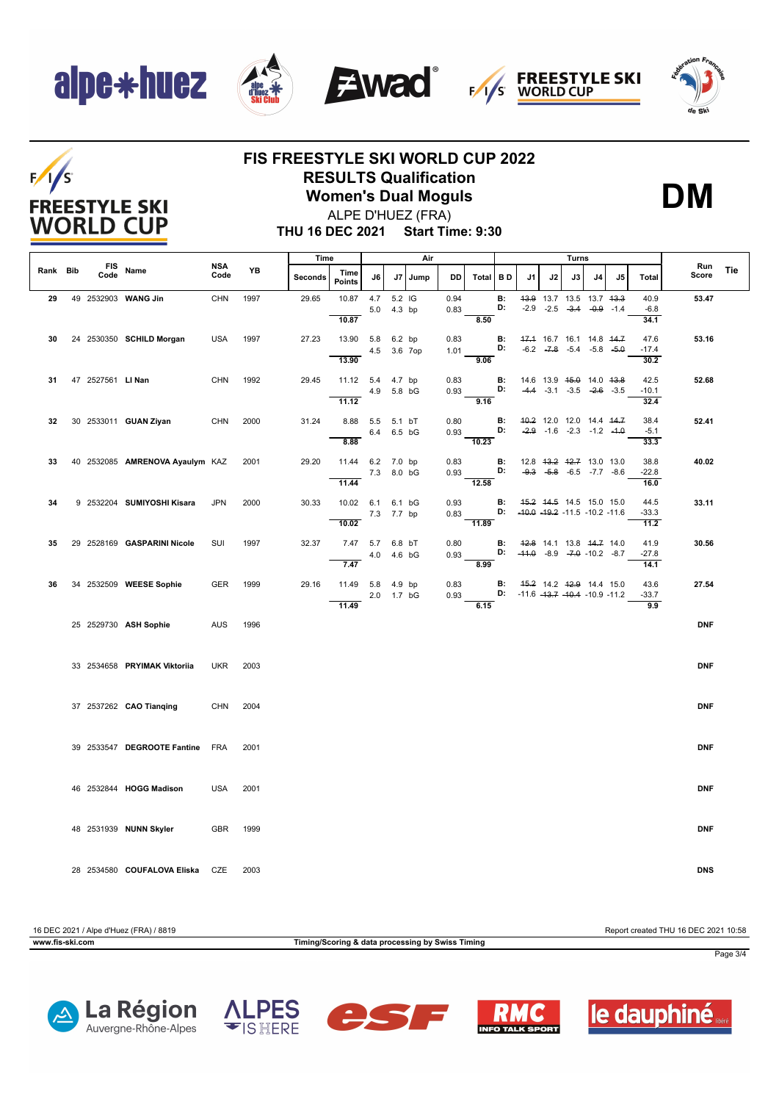## alpe\*huez

 $F/1/S$ 

**FREESTYLE SKI WORLD CUP** 









### **FIS FREESTYLE SKI WORLD CUP 2022 RESULTS Qualification**

**Women's Dual Moguls**



ALPE D'HUEZ (FRA)

**THU 16 DEC 2021 Start Time: 9:30**

|          |                   |                                 |                    |      | Time           |                           |              |                       | Air  |              |                    |                 | Turns                                                                           |                                                                                      |    |    |    |                         |              |            |
|----------|-------------------|---------------------------------|--------------------|------|----------------|---------------------------|--------------|-----------------------|------|--------------|--------------------|-----------------|---------------------------------------------------------------------------------|--------------------------------------------------------------------------------------|----|----|----|-------------------------|--------------|------------|
| Rank Bib | FIS<br>Code       | Name                            | <b>NSA</b><br>Code | YB   | <b>Seconds</b> | Time<br><b>Points</b>     | J6           | J7                    | Jump | <b>DD</b>    | Total BD           |                 | J <sub>1</sub>                                                                  | J2                                                                                   | J3 | J4 | J5 | <b>Total</b>            | Run<br>Score | <b>Tie</b> |
| 29       |                   | 49 2532903 WANG Jin             | <b>CHN</b>         | 1997 | 29.65          | 10.87<br>10.87            | 4.7          | 5.2 IG<br>5.0 4.3 bp  |      | 0.94<br>0.83 | 8.50               | <b>B:</b><br>D: |                                                                                 | 43.9 13.7 13.5 13.7 43.3<br>$-2.9$ $-2.5$ $-3.4$ $-0.9$ $-1.4$                       |    |    |    | 40.9<br>$-6.8$<br>34.1  | 53.47        |            |
| 30       |                   | 24 2530350 SCHILD Morgan        | <b>USA</b>         | 1997 | 27.23          | 13.90 5.8<br>13.90        |              | 6.2 bp<br>4.5 3.6 7op |      | 0.83<br>1.01 | 9.06               | <b>B:</b><br>D: |                                                                                 | 47.4 16.7 16.1 14.8 44.7<br>$-6.2$ $-7.8$ $-5.4$ $-5.8$ $-5.0$                       |    |    |    | 47.6<br>$-17.4$<br>30.2 | 53.16        |            |
| 31       | 47 2527561 LI Nan |                                 | <b>CHN</b>         | 1992 | 29.45          | 11.12 5.4 4.7 bp<br>11.12 | 4.9 5.8 bG   |                       |      | 0.83<br>0.93 | 9.16               | <b>B:</b><br>D: |                                                                                 | 14.6 13.9 <del>15.0</del> 14.0 <del>13.8</del><br>$-4.4$ $-3.1$ $-3.5$ $-2.6$ $-3.5$ |    |    |    | 42.5<br>$-10.1$<br>32.4 | 52.68        |            |
| 32       |                   | 30 2533011 GUAN Ziyan           | CHN                | 2000 | 31.24          | 8.88 5.5 5.1 bT<br>8.88   | 6.4 6.5 bG   |                       |      | 0.80<br>0.93 | $\overline{10.23}$ | <b>B:</b><br>D: |                                                                                 | 40.2 12.0 12.0 14.4 44.7<br>$-2.9$ $-1.6$ $-2.3$ $-1.2$ $-4.0$                       |    |    |    | 38.4<br>$-5.1$<br>33.3  | 52.41        |            |
| 33       |                   | 40 2532085 AMRENOVA Ayaulym KAZ |                    | 2001 | 29.20          | 11.44 6.2 7.0 bp<br>11.44 | 7.3 8.0 bG   |                       |      | 0.83<br>0.93 | 12.58              | <b>B:</b><br>D: |                                                                                 | 12.8 43.2 42.7 13.0 13.0<br>$-9.3$ $-5.8$ $-6.5$ $-7.7$ $-8.6$                       |    |    |    | 38.8<br>$-22.8$<br>16.0 | 40.02        |            |
| 34       |                   | 9 2532204 SUMIYOSHI Kisara      | <b>JPN</b>         | 2000 | 30.33          | 10.02 6.1 6.1 bG<br>10.02 | 7.3 7.7 bp   |                       |      | 0.93<br>0.83 | 11.89              | <b>B:</b>       | 45.2 44.5 14.5 15.0 15.0<br>D: $-40.0$ $-19.2$ $-11.5$ $-10.2$ $-11.6$          |                                                                                      |    |    |    | 44.5<br>$-33.3$<br>11.2 | 33.11        |            |
| 35       |                   | 29 2528169 GASPARINI Nicole     | SUI                | 1997 | 32.37          | 7.47 5.7 6.8 bT<br>7.47   | 4.0  4.6  bG |                       |      | 0.80<br>0.93 | 8.99               | <b>B:</b>       | 42.8 14.1 13.8 44.7 14.0<br>D: $-41.0$ $-8.9$ $-7.0$ $-10.2$ $-8.7$             |                                                                                      |    |    |    | 41.9<br>$-27.8$<br>14.1 | 30.56        |            |
| 36       |                   | 34 2532509 WEESE Sophie         | <b>GER</b>         | 1999 | 29.16          | 11.49 5.8 4.9 bp<br>11.49 | 2.0 1.7 bG   |                       |      | 0.83<br>0.93 | 6.15               |                 | <b>B:</b> 45.2 14.2 42.9 14.4 15.0<br><b>D:</b> $-11.6 -13.7 -10.4 -10.9 -11.2$ |                                                                                      |    |    |    | 43.6<br>$-33.7$<br>9.9  | 27.54        |            |
|          |                   | 25 2529730 ASH Sophie           | <b>AUS</b>         | 1996 |                |                           |              |                       |      |              |                    |                 |                                                                                 |                                                                                      |    |    |    |                         | <b>DNF</b>   |            |
|          |                   | 33 2534658 PRYIMAK Viktoriia    | <b>UKR</b>         | 2003 |                |                           |              |                       |      |              |                    |                 |                                                                                 |                                                                                      |    |    |    |                         | <b>DNF</b>   |            |
|          |                   | 37 2537262 CAO Tianging         | CHN 2004           |      |                |                           |              |                       |      |              |                    |                 |                                                                                 |                                                                                      |    |    |    |                         | <b>DNF</b>   |            |
|          |                   | 39 2533547 DEGROOTE Fantine FRA |                    | 2001 |                |                           |              |                       |      |              |                    |                 |                                                                                 |                                                                                      |    |    |    |                         | <b>DNF</b>   |            |
|          |                   | 46 2532844 HOGG Madison         | <b>USA</b>         | 2001 |                |                           |              |                       |      |              |                    |                 |                                                                                 |                                                                                      |    |    |    |                         | <b>DNF</b>   |            |
|          |                   | 48 2531939 NUNN Skyler          | GBR 1999           |      |                |                           |              |                       |      |              |                    |                 |                                                                                 |                                                                                      |    |    |    |                         | <b>DNF</b>   |            |
|          |                   | 28 2534580 COUFALOVA Eliska CZE |                    | 2003 |                |                           |              |                       |      |              |                    |                 |                                                                                 |                                                                                      |    |    |    |                         | <b>DNS</b>   |            |

16 DEC 2021 / Alpe d'Huez (FRA) / 8819 Report created THU 16 DEC 2021 10:58 **www.fis-ski.com Timing/Scoring & data processing by Swiss Timing** Page 3/4